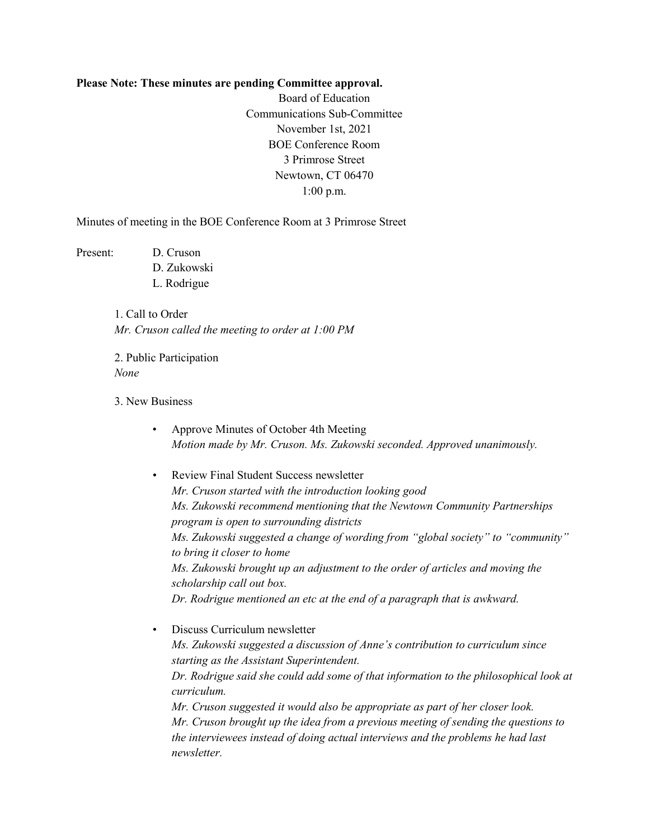## **Please Note: These minutes are pending Committee approval.**

Board of Education Communications Sub-Committee November 1st, 2021 BOE Conference Room 3 Primrose Street Newtown, CT 06470 1:00 p.m.

Minutes of meeting in the BOE Conference Room at 3 Primrose Street

Present: D. Cruson D. Zukowski L. Rodrigue

> 1. Call to Order *Mr. Cruson called the meeting to order at 1:00 PM*

2. Public Participation *None*

3. New Business

- Approve Minutes of October 4th Meeting *Motion made by Mr. Cruson. Ms. Zukowski seconded. Approved unanimously.*
- Review Final Student Success newsletter *Mr. Cruson started with the introduction looking good Ms. Zukowski recommend mentioning that the Newtown Community Partnerships program is open to surrounding districts Ms. Zukowski suggested a change of wording from "global society" to "community" to bring it closer to home Ms. Zukowski brought up an adjustment to the order of articles and moving the scholarship call out box. Dr. Rodrigue mentioned an etc at the end of a paragraph that is awkward.*

• Discuss Curriculum newsletter *Ms. Zukowski suggested a discussion of Anne's contribution to curriculum since starting as the Assistant Superintendent. Dr. Rodrigue said she could add some of that information to the philosophical look at curriculum. Mr. Cruson suggested it would also be appropriate as part of her closer look. Mr. Cruson brought up the idea from a previous meeting of sending the questions to the interviewees instead of doing actual interviews and the problems he had last newsletter.*